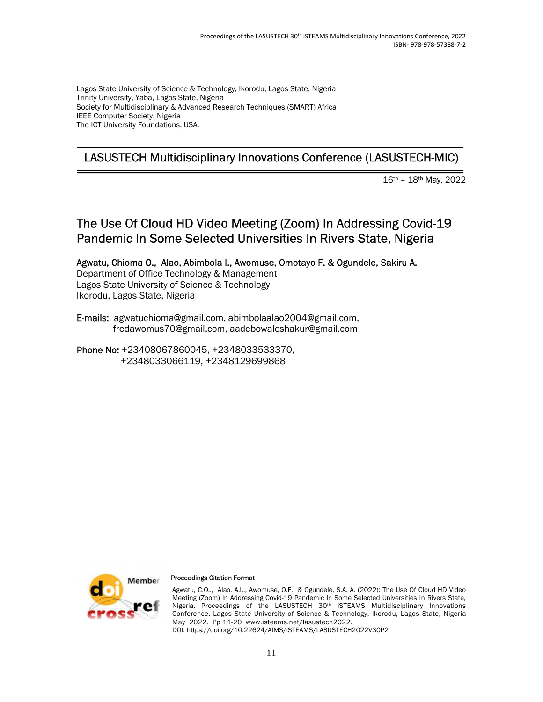Lagos State University of Science & Technology, Ikorodu, Lagos State, Nigeria Trinity University, Yaba, Lagos State, Nigeria Society for Multidisciplinary & Advanced Research Techniques (SMART) Africa IEEE Computer Society, Nigeria The ICT University Foundations, USA.

# LASUSTECH Multidisciplinary Innovations Conference (LASUSTECH-MIC)

16th – 18th May, 2022

# The Use Of Cloud HD Video Meeting (Zoom) In Addressing Covid-19 Pandemic In Some Selected Universities In Rivers State, Nigeria

Agwatu, Chioma O., Alao, Abimbola I., Awomuse, Omotayo F. & Ogundele, Sakiru A. Department of Office Technology & Management Lagos State University of Science & Technology Ikorodu, Lagos State, Nigeria

E-mails: agwatuchioma@gmail.com, abimbolaalao2004@gmail.com, fredawomus70@gmail.com, aadebowaleshakur@gmail.com

Phone No: +23408067860045, +2348033533370, +2348033066119, +2348129699868



#### Proceedings Citation Format

Agwatu, C.O.., Alao, A.I.., Awomuse, O.F. & Ogundele, S.A. A. (2022): The Use Of Cloud HD Video Meeting (Zoom) In Addressing Covid-19 Pandemic In Some Selected Universities In Rivers State, Nigeria. Proceedings of the LASUSTECH 30<sup>th</sup> iSTEAMS Multidisciplinary Innovations Conference. Lagos State University of Science & Technology, Ikorodu, Lagos State, Nigeria May 2022. Pp 11-20 www.isteams.net/lasustech2022. DOI: https://doi.org/10.22624/AIMS/iSTEAMS/LASUSTECH2022V30P2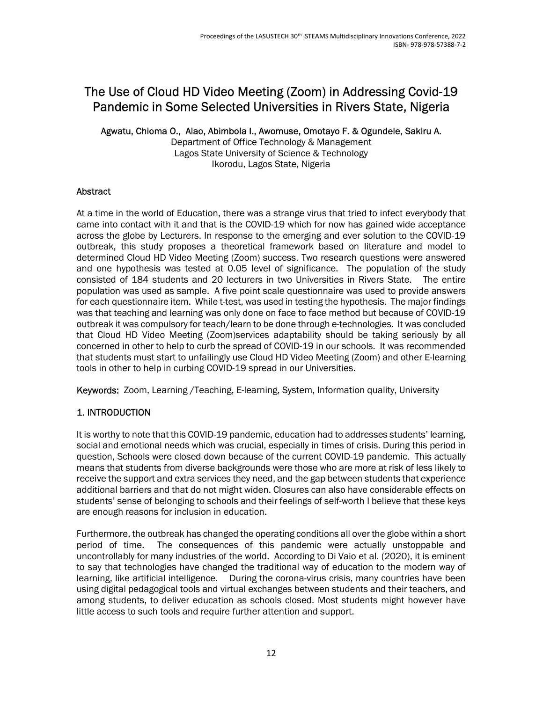# The Use of Cloud HD Video Meeting (Zoom) in Addressing Covid-19 Pandemic in Some Selected Universities in Rivers State, Nigeria

Agwatu, Chioma O., Alao, Abimbola I., Awomuse, Omotayo F. & Ogundele, Sakiru A.

Department of Office Technology & Management Lagos State University of Science & Technology Ikorodu, Lagos State, Nigeria

### Abstract

At a time in the world of Education, there was a strange virus that tried to infect everybody that came into contact with it and that is the COVID-19 which for now has gained wide acceptance across the globe by Lecturers. In response to the emerging and ever solution to the COVID-19 outbreak, this study proposes a theoretical framework based on literature and model to determined Cloud HD Video Meeting (Zoom) success. Two research questions were answered and one hypothesis was tested at 0.05 level of significance. The population of the study consisted of 184 students and 20 lecturers in two Universities in Rivers State. The entire population was used as sample. A five point scale questionnaire was used to provide answers for each questionnaire item. While t-test, was used in testing the hypothesis. The major findings was that teaching and learning was only done on face to face method but because of COVID-19 outbreak it was compulsory for teach/learn to be done through e-technologies. It was concluded that Cloud HD Video Meeting (Zoom)services adaptability should be taking seriously by all concerned in other to help to curb the spread of COVID-19 in our schools. It was recommended that students must start to unfailingly use Cloud HD Video Meeting (Zoom) and other E-learning tools in other to help in curbing COVID-19 spread in our Universities.

Keywords: Zoom, Learning /Teaching, E-learning, System, Information quality, University

# 1. INTRODUCTION

It is worthy to note that this COVID-19 pandemic, education had to addresses students' learning, social and emotional needs which was crucial, especially in times of crisis. During this period in question, Schools were closed down because of the current COVID-19 pandemic. This actually means that students from diverse backgrounds were those who are more at risk of less likely to receive the support and extra services they need, and the gap between students that experience additional barriers and that do not might widen. Closures can also have considerable effects on students' sense of belonging to schools and their feelings of self-worth I believe that these keys are enough reasons for inclusion in education.

Furthermore, the outbreak has changed the operating conditions all over the globe within a short period of time. The consequences of this pandemic were actually unstoppable and uncontrollably for many industries of the world. According to Di Vaio et al. (2020), it is eminent to say that technologies have changed the traditional way of education to the modern way of learning, like artificial intelligence. During the corona-virus crisis, many countries have been using digital pedagogical tools and virtual exchanges between students and their teachers, and among students, to deliver education as schools closed. Most students might however have little access to such tools and require further attention and support.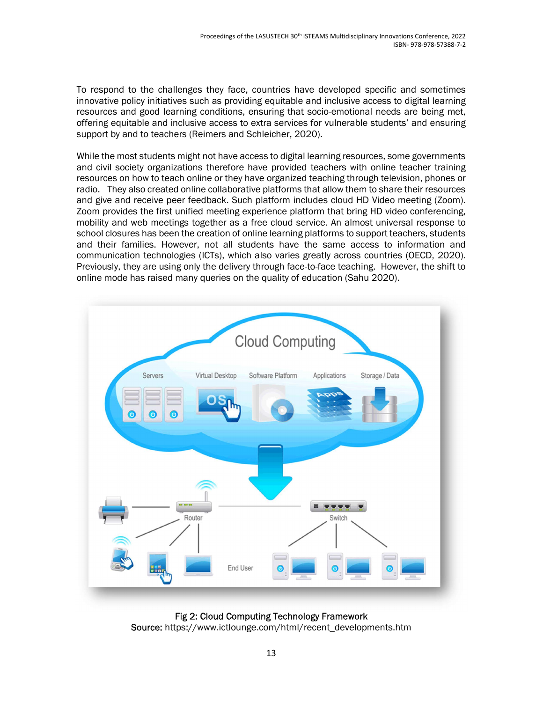To respond to the challenges they face, countries have developed specific and sometimes innovative policy initiatives such as providing equitable and inclusive access to digital learning resources and good learning conditions, ensuring that socio-emotional needs are being met, offering equitable and inclusive access to extra services for vulnerable students' and ensuring support by and to teachers (Reimers and Schleicher, 2020).

While the most students might not have access to digital learning resources, some governments and civil society organizations therefore have provided teachers with online teacher training resources on how to teach online or they have organized teaching through television, phones or radio. They also created online collaborative platforms that allow them to share their resources and give and receive peer feedback. Such platform includes cloud HD Video meeting (Zoom). Zoom provides the first unified meeting experience platform that bring HD video conferencing, mobility and web meetings together as a free cloud service. An almost universal response to school closures has been the creation of online learning platforms to support teachers, students and their families. However, not all students have the same access to information and communication technologies (ICTs), which also varies greatly across countries (OECD, 2020). Previously, they are using only the delivery through face-to-face teaching. However, the shift to online mode has raised many queries on the quality of education (Sahu 2020).



Fig 2: Cloud Computing Technology Framework Source: https://www.ictlounge.com/html/recent\_developments.htm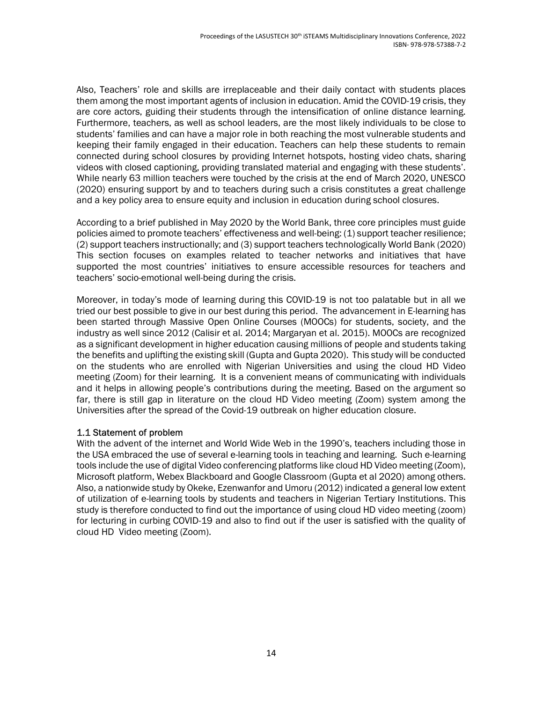Also, Teachers' role and skills are irreplaceable and their daily contact with students places them among the most important agents of inclusion in education. Amid the COVID-19 crisis, they are core actors, guiding their students through the intensification of online distance learning. Furthermore, teachers, as well as school leaders, are the most likely individuals to be close to students' families and can have a major role in both reaching the most vulnerable students and keeping their family engaged in their education. Teachers can help these students to remain connected during school closures by providing Internet hotspots, hosting video chats, sharing videos with closed captioning, providing translated material and engaging with these students'. While nearly 63 million teachers were touched by the crisis at the end of March 2020, UNESCO (2020) ensuring support by and to teachers during such a crisis constitutes a great challenge and a key policy area to ensure equity and inclusion in education during school closures.

According to a brief published in May 2020 by the World Bank, three core principles must guide policies aimed to promote teachers' effectiveness and well-being: (1) support teacher resilience; (2) support teachers instructionally; and (3) support teachers technologically World Bank (2020) This section focuses on examples related to teacher networks and initiatives that have supported the most countries' initiatives to ensure accessible resources for teachers and teachers' socio-emotional well-being during the crisis.

Moreover, in today's mode of learning during this COVID-19 is not too palatable but in all we tried our best possible to give in our best during this period. The advancement in E-learning has been started through Massive Open Online Courses (MOOCs) for students, society, and the industry as well since 2012 (Calisir et al. 2014; Margaryan et al. 2015). MOOCs are recognized as a significant development in higher education causing millions of people and students taking the benefits and uplifting the existing skill (Gupta and Gupta 2020). This study will be conducted on the students who are enrolled with Nigerian Universities and using the cloud HD Video meeting (Zoom) for their learning. It is a convenient means of communicating with individuals and it helps in allowing people's contributions during the meeting. Based on the argument so far, there is still gap in literature on the cloud HD Video meeting (Zoom) system among the Universities after the spread of the Covid-19 outbreak on higher education closure.

#### 1.1 Statement of problem

With the advent of the internet and World Wide Web in the 1990's, teachers including those in the USA embraced the use of several e-learning tools in teaching and learning. Such e-learning tools include the use of digital Video conferencing platforms like cloud HD Video meeting (Zoom), Microsoft platform, Webex Blackboard and Google Classroom (Gupta et al 2020) among others. Also, a nationwide study by Okeke, Ezenwanfor and Umoru (2012) indicated a general low extent of utilization of e-learning tools by students and teachers in Nigerian Tertiary Institutions. This study is therefore conducted to find out the importance of using cloud HD video meeting (zoom) for lecturing in curbing COVID-19 and also to find out if the user is satisfied with the quality of cloud HD Video meeting (Zoom).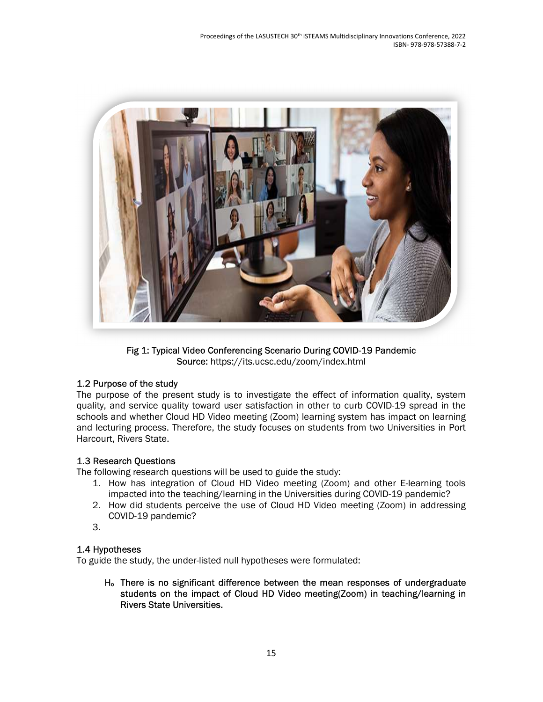

Fig 1: Typical Video Conferencing Scenario During COVID-19 Pandemic Source: https://its.ucsc.edu/zoom/index.html

### 1.2 Purpose of the study

The purpose of the present study is to investigate the effect of information quality, system quality, and service quality toward user satisfaction in other to curb COVID-19 spread in the schools and whether Cloud HD Video meeting (Zoom) learning system has impact on learning and lecturing process. Therefore, the study focuses on students from two Universities in Port Harcourt, Rivers State.

### 1.3 Research Questions

The following research questions will be used to guide the study:

- 1. How has integration of Cloud HD Video meeting (Zoom) and other E-learning tools impacted into the teaching/learning in the Universities during COVID-19 pandemic?
- 2. How did students perceive the use of Cloud HD Video meeting (Zoom) in addressing COVID-19 pandemic?
- 3.

# 1.4 Hypotheses

To guide the study, the under-listed null hypotheses were formulated:

Ho There is no significant difference between the mean responses of undergraduate students on the impact of Cloud HD Video meeting(Zoom) in teaching/learning in Rivers State Universities.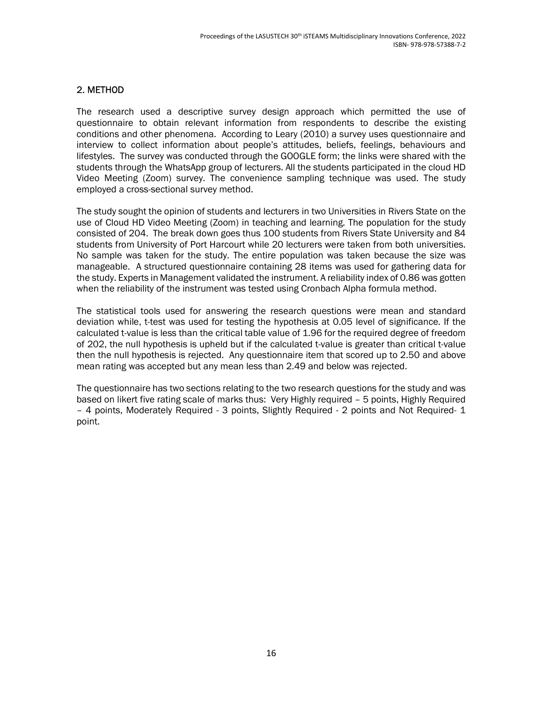#### 2. METHOD

The research used a descriptive survey design approach which permitted the use of questionnaire to obtain relevant information from respondents to describe the existing conditions and other phenomena. According to Leary (2010) a survey uses questionnaire and interview to collect information about people's attitudes, beliefs, feelings, behaviours and lifestyles. The survey was conducted through the GOOGLE form; the links were shared with the students through the WhatsApp group of lecturers. All the students participated in the cloud HD Video Meeting (Zoom) survey. The convenience sampling technique was used. The study employed a cross-sectional survey method.

The study sought the opinion of students and lecturers in two Universities in Rivers State on the use of Cloud HD Video Meeting (Zoom) in teaching and learning. The population for the study consisted of 204. The break down goes thus 100 students from Rivers State University and 84 students from University of Port Harcourt while 20 lecturers were taken from both universities. No sample was taken for the study. The entire population was taken because the size was manageable. A structured questionnaire containing 28 items was used for gathering data for the study. Experts in Management validated the instrument. A reliability index of 0.86 was gotten when the reliability of the instrument was tested using Cronbach Alpha formula method.

The statistical tools used for answering the research questions were mean and standard deviation while, t-test was used for testing the hypothesis at 0.05 level of significance. If the calculated t-value is less than the critical table value of 1.96 for the required degree of freedom of 202, the null hypothesis is upheld but if the calculated t-value is greater than critical t-value then the null hypothesis is rejected. Any questionnaire item that scored up to 2.50 and above mean rating was accepted but any mean less than 2.49 and below was rejected.

The questionnaire has two sections relating to the two research questions for the study and was based on likert five rating scale of marks thus: Very Highly required – 5 points, Highly Required – 4 points, Moderately Required - 3 points, Slightly Required - 2 points and Not Required- 1 point.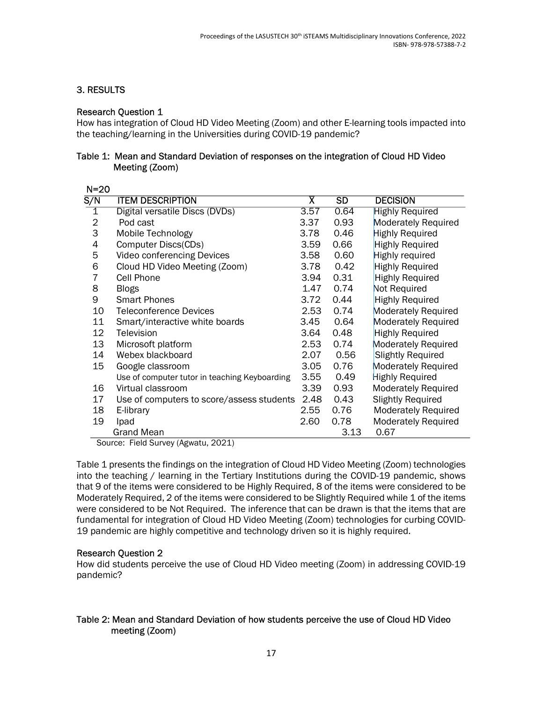## 3. RESULTS

#### Research Question 1

How has integration of Cloud HD Video Meeting (Zoom) and other E-learning tools impacted into the teaching/learning in the Universities during COVID-19 pandemic?

#### Table 1: Mean and Standard Deviation of responses on the integration of Cloud HD Video Meeting (Zoom)

| $N=20$                  |                                               |                         |      |                            |
|-------------------------|-----------------------------------------------|-------------------------|------|----------------------------|
| S/N                     | <b>ITEM DESCRIPTION</b>                       | $\overline{\mathsf{x}}$ | SD   | <b>DECISION</b>            |
| $\overline{\mathbb{1}}$ | Digital versatile Discs (DVDs)                | 3.57                    | 0.64 | <b>Highly Required</b>     |
| $\overline{2}$          | Pod cast                                      | 3.37                    | 0.93 | <b>Moderately Required</b> |
| 3                       | Mobile Technology                             | 3.78                    | 0.46 | <b>Highly Required</b>     |
| 4                       | Computer Discs(CDs)                           | 3.59                    | 0.66 | <b>Highly Required</b>     |
| 5                       | Video conferencing Devices                    | 3.58                    | 0.60 | Highly required            |
| 6                       | Cloud HD Video Meeting (Zoom)                 | 3.78                    | 0.42 | <b>Highly Required</b>     |
| 7                       | Cell Phone                                    | 3.94                    | 0.31 | <b>Highly Required</b>     |
| 8                       | <b>Blogs</b>                                  | 1.47                    | 0.74 | Not Required               |
| 9                       | <b>Smart Phones</b>                           | 3.72                    | 0.44 | <b>Highly Required</b>     |
| 10                      | <b>Teleconference Devices</b>                 | 2.53                    | 0.74 | <b>Moderately Required</b> |
| 11                      | Smart/interactive white boards                | 3.45                    | 0.64 | <b>Moderately Required</b> |
| 12                      | Television                                    | 3.64                    | 0.48 | <b>Highly Required</b>     |
| 13                      | Microsoft platform                            | 2.53                    | 0.74 | <b>Moderately Required</b> |
| 14                      | Webex blackboard                              | 2.07                    | 0.56 | <b>Slightly Required</b>   |
| 15                      | Google classroom                              | 3.05                    | 0.76 | Moderately Required        |
|                         | Use of computer tutor in teaching Keyboarding | 3.55                    | 0.49 | <b>Highly Required</b>     |
| 16                      | Virtual classroom                             | 3.39                    | 0.93 | <b>Moderately Required</b> |
| 17                      | Use of computers to score/assess students     | 2.48                    | 0.43 | <b>Slightly Required</b>   |
| 18                      | E-library                                     | 2.55                    | 0.76 | <b>Moderately Required</b> |
| 19                      | Ipad                                          | 2.60                    | 0.78 | <b>Moderately Required</b> |
|                         | <b>Grand Mean</b>                             |                         | 3.13 | 0.67                       |

Source: Field Survey (Agwatu, 2021)

Table 1 presents the findings on the integration of Cloud HD Video Meeting (Zoom) technologies into the teaching / learning in the Tertiary Institutions during the COVID-19 pandemic, shows that 9 of the items were considered to be Highly Required, 8 of the items were considered to be Moderately Required, 2 of the items were considered to be Slightly Required while 1 of the items were considered to be Not Required. The inference that can be drawn is that the items that are fundamental for integration of Cloud HD Video Meeting (Zoom) technologies for curbing COVID-19 pandemic are highly competitive and technology driven so it is highly required.

#### Research Question 2

How did students perceive the use of Cloud HD Video meeting (Zoom) in addressing COVID-19 pandemic?

#### Table 2: Mean and Standard Deviation of how students perceive the use of Cloud HD Video meeting (Zoom)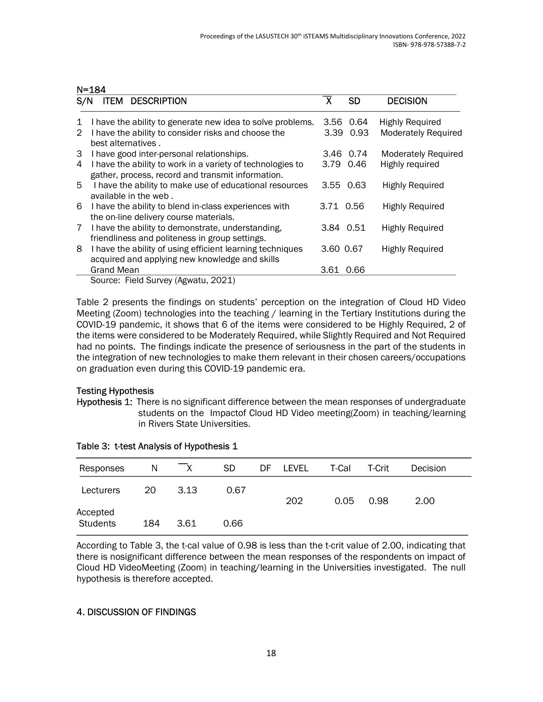#### N=184

| S/N          | <b>DESCRIPTION</b><br><b>ITEM</b>                                                                               | $\overline{\textsf{x}}$ | <b>SD</b> | <b>DECISION</b>            |
|--------------|-----------------------------------------------------------------------------------------------------------------|-------------------------|-----------|----------------------------|
| $\mathbf{1}$ | I have the ability to generate new idea to solve problems.                                                      | 3.56                    | 0.64      | <b>Highly Required</b>     |
| 2            | I have the ability to consider risks and choose the<br>best alternatives.                                       | 3.39 0.93               |           | <b>Moderately Required</b> |
| 3            | I have good inter-personal relationships.                                                                       | 3.46                    | 0.74      | <b>Moderately Required</b> |
| 4            | I have the ability to work in a variety of technologies to<br>gather, process, record and transmit information. | 3.79 0.46               |           | Highly required            |
| 5            | I have the ability to make use of educational resources<br>available in the web.                                | 3.55 0.63               |           | <b>Highly Required</b>     |
| 6            | I have the ability to blend in-class experiences with<br>the on-line delivery course materials.                 | 3.71 0.56               |           | <b>Highly Required</b>     |
| 7            | I have the ability to demonstrate, understanding,<br>friendliness and politeness in group settings.             | 3.84 0.51               |           | <b>Highly Required</b>     |
| 8            | I have the ability of using efficient learning techniques<br>acquired and applying new knowledge and skills     | 3.60 0.67               |           | <b>Highly Required</b>     |
|              | <b>Grand Mean</b>                                                                                               | 3.61                    | 0.66      |                            |
|              | Source: Field Survey (Agwatu, 2021)                                                                             |                         |           |                            |

Table 2 presents the findings on students' perception on the integration of Cloud HD Video Meeting (Zoom) technologies into the teaching / learning in the Tertiary Institutions during the COVID-19 pandemic, it shows that 6 of the items were considered to be Highly Required, 2 of the items were considered to be Moderately Required, while Slightly Required and Not Required had no points. The findings indicate the presence of seriousness in the part of the students in the integration of new technologies to make them relevant in their chosen careers/occupations on graduation even during this COVID-19 pandemic era.

#### Testing Hypothesis

Hypothesis 1: There is no significant difference between the mean responses of undergraduate students on the Impactof Cloud HD Video meeting(Zoom) in teaching/learning in Rivers State Universities.

| Responses                   | N   | $\mathsf{X}$ | SD.  | DF | <b>LEVEL</b> | T-Cal | T-Crit | Decision |  |
|-----------------------------|-----|--------------|------|----|--------------|-------|--------|----------|--|
| Lecturers                   | 20  | 3.13         | 0.67 |    | 202          | 0.05  | 0.98   | 2.00     |  |
| Accepted<br><b>Students</b> | 184 | 3.61         | 0.66 |    |              |       |        |          |  |

| Table 3: t-test Analysis of Hypothesis 1 |  |  |  |  |  |
|------------------------------------------|--|--|--|--|--|
|------------------------------------------|--|--|--|--|--|

According to Table 3, the t-cal value of 0.98 is less than the t-crit value of 2.00, indicating that there is nosignificant difference between the mean responses of the respondents on impact of Cloud HD VideoMeeting (Zoom) in teaching/learning in the Universities investigated. The null hypothesis is therefore accepted.

### 4. DISCUSSION OF FINDINGS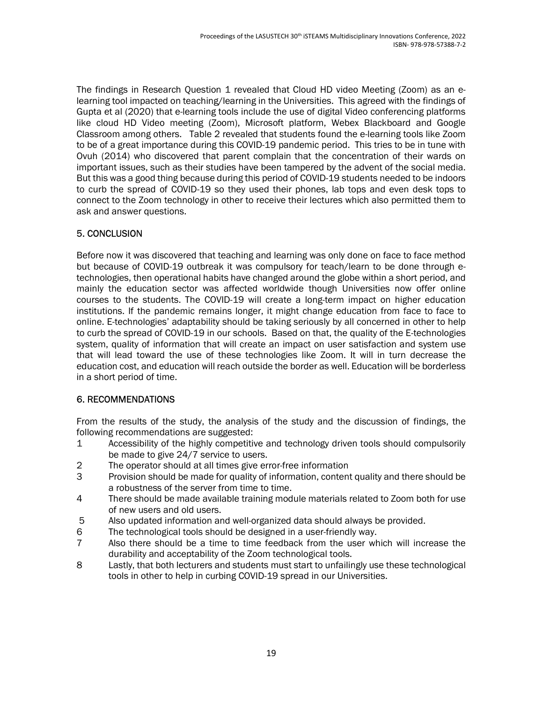The findings in Research Question 1 revealed that Cloud HD video Meeting (Zoom) as an elearning tool impacted on teaching/learning in the Universities. This agreed with the findings of Gupta et al (2020) that e-learning tools include the use of digital Video conferencing platforms like cloud HD Video meeting (Zoom), Microsoft platform, Webex Blackboard and Google Classroom among others. Table 2 revealed that students found the e-learning tools like Zoom to be of a great importance during this COVID-19 pandemic period. This tries to be in tune with Ovuh (2014) who discovered that parent complain that the concentration of their wards on important issues, such as their studies have been tampered by the advent of the social media. But this was a good thing because during this period of COVID-19 students needed to be indoors to curb the spread of COVID-19 so they used their phones, lab tops and even desk tops to connect to the Zoom technology in other to receive their lectures which also permitted them to ask and answer questions.

## 5. CONCLUSION

Before now it was discovered that teaching and learning was only done on face to face method but because of COVID-19 outbreak it was compulsory for teach/learn to be done through etechnologies, then operational habits have changed around the globe within a short period, and mainly the education sector was affected worldwide though Universities now offer online courses to the students. The COVID-19 will create a long-term impact on higher education institutions. If the pandemic remains longer, it might change education from face to face to online. E-technologies' adaptability should be taking seriously by all concerned in other to help to curb the spread of COVID-19 in our schools. Based on that, the quality of the E-technologies system, quality of information that will create an impact on user satisfaction and system use that will lead toward the use of these technologies like Zoom. It will in turn decrease the education cost, and education will reach outside the border as well. Education will be borderless in a short period of time.

### 6. RECOMMENDATIONS

From the results of the study, the analysis of the study and the discussion of findings, the following recommendations are suggested:

- 1 Accessibility of the highly competitive and technology driven tools should compulsorily be made to give 24/7 service to users.
- 2 The operator should at all times give error-free information
- 3 Provision should be made for quality of information, content quality and there should be a robustness of the server from time to time.
- 4 There should be made available training module materials related to Zoom both for use of new users and old users.
- 5 Also updated information and well-organized data should always be provided.
- 6 The technological tools should be designed in a user-friendly way.
- 7 Also there should be a time to time feedback from the user which will increase the durability and acceptability of the Zoom technological tools.
- 8 Lastly, that both lecturers and students must start to unfailingly use these technological tools in other to help in curbing COVID-19 spread in our Universities.